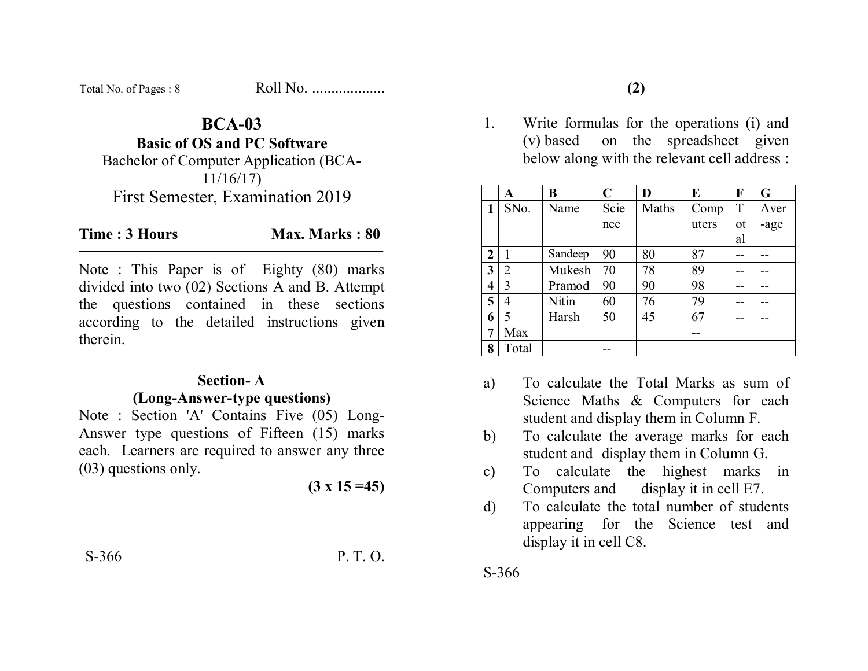| Total No. of Pages: 8 | Roll No. |
|-----------------------|----------|
|-----------------------|----------|

# **BCA-03**

**Basic of OS and PC Software** 

Bachelor of Computer Application (BCA-11/16/17) First Semester, Examination 2019

#### **Time : 3 Hours** Max. Marks : 80

Note : This Paper is of Eighty (80) marks divided into two (02) Sections A and B. Attempt the questions contained in these sections according to the detailed instructions given therein.

#### **Section- A**

### **(Long-Answer-type questions)**

Note : Section 'A' Contains Five (05) Long-Answer type questions of Fifteen (15) marks each. Learners are required to answer any three (03) questions only.

**(3 x 15 =45)** 

S-366 P. T. O.

1. Write formulas for the operations (i) and (v) based on the spreadsheet given below along with the relevant cell address :

|                | A              | B       | $\mathbf C$ | D     | E     | F  | G    |
|----------------|----------------|---------|-------------|-------|-------|----|------|
| 1              | SNo.           | Name    | Scie        | Maths | Comp  | T  | Aver |
|                |                |         | nce         |       | uters | ot | -age |
|                |                |         |             |       |       | al |      |
| $\overline{2}$ |                | Sandeep | 90          | 80    | 87    |    |      |
| 3              | $\overline{2}$ | Mukesh  | 70          | 78    | 89    |    |      |
| 4              | 3              | Pramod  | 90          | 90    | 98    |    |      |
| 5              | $\overline{4}$ | Nitin   | 60          | 76    | 79    |    |      |
| 6              | 5              | Harsh   | 50          | 45    | 67    |    |      |
| 7              | Max            |         |             |       |       |    |      |
| 8              | Total          |         |             |       |       |    |      |

- a) To calculate the Total Marks as sum of Science Maths & Computers for each student and display them in Column F.
- b) To calculate the average marks for each student and display them in Column G.
- c) To calculate the highest marks in Computers and display it in cell E7.
- d) To calculate the total number of students appearing for the Science test and display it in cell C8.

S-366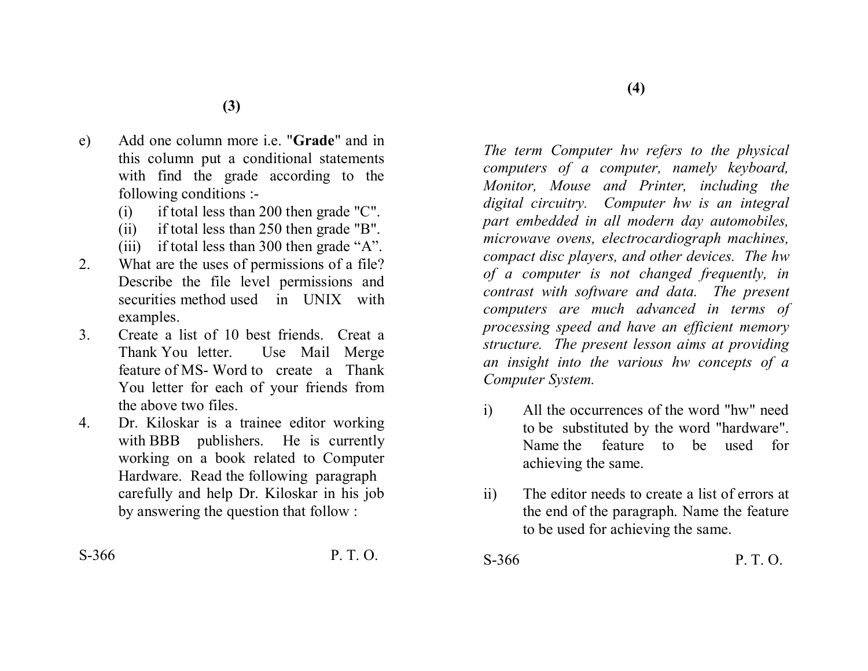- e) Add one column more i.e. "**Grade**" and in this column put a conditional statements with find the grade according to the following conditions :-
	- (i) if total less than 200 then grade "C".
	- (ii) if total less than 250 then grade "B".
	- (iii) if total less than 300 then grade "A".
- 2. What are the uses of permissions of a file? Describe the file level permissions and securities method used in UNIX with examples.
- 3. Create a list of 10 best friends. Creat a Thank You letter. Use Mail Merge feature of MS- Word to create a Thank You letter for each of your friends from the above two files.
- 4. Dr. Kiloskar is a trainee editor working with BBB publishers. He is currently working on a book related to Computer Hardware. Read the following paragraph carefully and help Dr. Kiloskar in his job by answering the question that follow :

S-366 P. T. O.

*The term Computer hw refers to the physical computers of a computer, namely keyboard, Monitor, Mouse and Printer, including the digital circuitry. Computer hw is an integral part embedded in all modern day automobiles, microwave ovens, electrocardiograph machines, compact disc players, and other devices. The hw of a computer is not changed frequently, in contrast with software and data. The present computers are much advanced in terms of processing speed and have an efficient memory structure. The present lesson aims at providing an insight into the various hw concepts of a Computer System.* 

- i) All the occurrences of the word "hw" need to be substituted by the word "hardware". Name the feature to be used for achieving the same.
- ii) The editor needs to create a list of errors at the end of the paragraph. Name the feature to be used for achieving the same.
- S-366 P. T. O.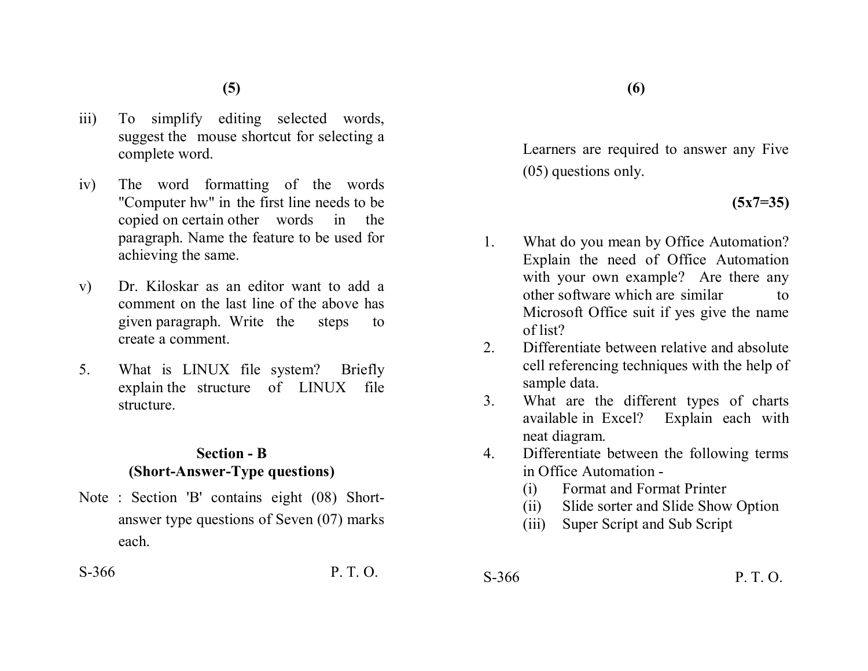- iii) To simplify editing selected words, suggest the mouse shortcut for selecting a complete word.
- iv) The word formatting of the words "Computer hw" in the first line needs to be copied on certain other words in the paragraph. Name the feature to be used for achieving the same.
- v) Dr. Kiloskar as an editor want to add a comment on the last line of the above has given paragraph. Write the steps to create a comment.
- 5. What is LINUX file system? Briefly explain the structure of LINUX file structure.

## **Section - B (Short-Answer-Type questions)**

Note : Section 'B' contains eight (08) Shortanswer type questions of Seven (07) marks each.

 $S-366$  P. T. O.

Learners are required to answer any Five (05) questions only.

# **(5x7=35)**

- 1. What do you mean by Office Automation? Explain the need of Office Automation with your own example? Are there any other software which are similar to Microsoft Office suit if yes give the name of list?
- 2. Differentiate between relative and absolute cell referencing techniques with the help of sample data.
- 3. What are the different types of charts available in Excel? Explain each with neat diagram.
- 4. Differentiate between the following terms in Office Automation -
	- (i) Format and Format Printer
	- (ii) Slide sorter and Slide Show Option
	- (iii) Super Script and Sub Script
- $S-366$  P. T. O.